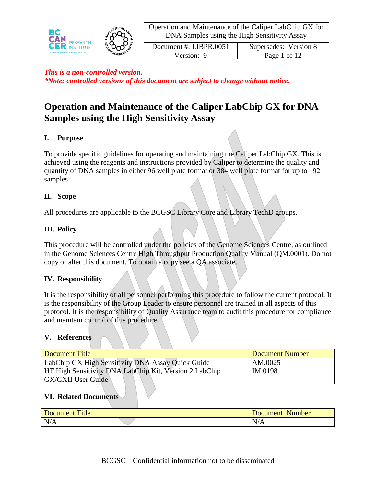

| Document #: LIBPR.0051 | Supersedes: Version 8 |
|------------------------|-----------------------|
| Version: 9             | Page 1 of 12          |

# **Operation and Maintenance of the Caliper LabChip GX for DNA Samples using the High Sensitivity Assay**

# **I. Purpose**

To provide specific guidelines for operating and maintaining the Caliper LabChip GX. This is achieved using the reagents and instructions provided by Caliper to determine the quality and quantity of DNA samples in either 96 well plate format or 384 well plate format for up to 192 samples.

# **II. Scope**

All procedures are applicable to the BCGSC Library Core and Library TechD groups.

### **III. Policy**

This procedure will be controlled under the policies of the Genome Sciences Centre, as outlined in the Genome Sciences Centre High Throughput Production Quality Manual (QM.0001). Do not copy or alter this document. To obtain a copy see a QA associate.

# **IV. Responsibility**

It is the responsibility of all personnel performing this procedure to follow the current protocol. It is the responsibility of the Group Leader to ensure personnel are trained in all aspects of this protocol. It is the responsibility of Quality Assurance team to audit this procedure for compliance and maintain control of this procedure.

### **V. References**

| Document Title                                         | Document Number |
|--------------------------------------------------------|-----------------|
| LabChip GX High Sensitivity DNA Assay Quick Guide      | AM.0025         |
| HT High Sensitivity DNA LabChip Kit, Version 2 LabChip | IM.0198         |
| <b>GX/GXII User Guide</b>                              |                 |

### **VI. Related Documents**

| m.<br><sup>1</sup> tle<br>яннеш | Number<br>Document |
|---------------------------------|--------------------|
| N.<br>TAILT                     |                    |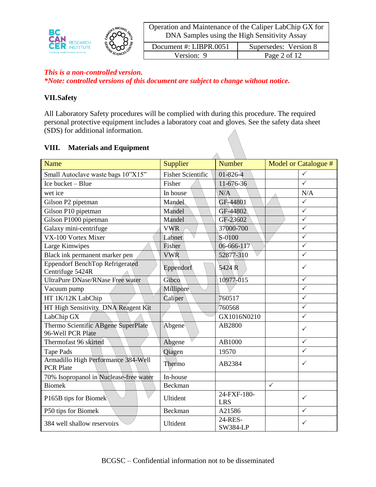

| Document #: LIBPR.0051 | Supersedes: Version 8 |
|------------------------|-----------------------|
| Version: 9             | Page 2 of 12          |

### *This is a non-controlled version.*

*\*Note: controlled versions of this document are subject to change without notice.*

### **VII.Safety**

All Laboratory Safety procedures will be complied with during this procedure. The required personal protective equipment includes a laboratory coat and gloves. See the safety data sheet (SDS) for additional information.

### **VIII. Materials and Equipment**

| Name                                                       | Supplier                 | Number                     |              | Model or Catalogue # |
|------------------------------------------------------------|--------------------------|----------------------------|--------------|----------------------|
| Small Autoclave waste bags 10"X15"                         | <b>Fisher Scientific</b> | 01-826-4                   |              | $\checkmark$         |
| Ice bucket - Blue                                          | Fisher                   | 11-676-36                  |              | $\checkmark$         |
| wet ice                                                    | In house                 | N/A                        |              | N/A                  |
| Gilson P2 pipetman                                         | Mandel                   | GF-44801                   |              | $\checkmark$         |
| Gilson P10 pipetman                                        | Mandel                   | GF-44802                   |              | $\checkmark$         |
| Gilson P1000 pipetman                                      | Mandel                   | GF-23602                   |              | $\checkmark$         |
| Galaxy mini-centrifuge                                     | <b>VWR</b>               | 37000-700                  |              | $\checkmark$         |
| VX-100 Vortex Mixer                                        | Labnet                   | S-0100                     |              | $\checkmark$         |
| Large Kimwipes                                             | Fisher                   | 06-666-117                 |              | $\checkmark$         |
| Black ink permanent marker pen                             | <b>VWR</b>               | 52877-310                  |              | $\checkmark$         |
| <b>Eppendorf BenchTop Refrigerated</b><br>Centrifuge 5424R | Eppendorf                | 5424 R                     |              | $\checkmark$         |
| <b>UltraPure DNase/RNase Free water</b>                    | Gibco                    | 10977-015                  |              | $\checkmark$         |
| Vacuum pump                                                | Millipore                |                            |              | $\checkmark$         |
| HT 1K/12K LabChip                                          | Caliper                  | 760517                     |              | $\checkmark$         |
| HT High Sensitivity DNA Reagent Kit                        |                          | 760568                     |              | $\checkmark$         |
| LabChip GX                                                 |                          | GX1016N0210                |              | $\checkmark$         |
| Thermo Scientific ABgene SuperPlate<br>96-Well PCR Plate   | Abgene                   | AB2800                     |              | $\checkmark$         |
| Thermofast 96 skirted                                      | Abgene                   | AB1000                     |              | $\checkmark$         |
| <b>Tape Pads</b>                                           | Qiagen                   | 19570                      |              | $\checkmark$         |
| Armadillo High Performance 384-Well<br><b>PCR Plate</b>    | Thermo                   | AB2384                     |              | ✓                    |
| 70% Isopropanol in Nuclease-free water                     | In-house                 |                            |              |                      |
| <b>Biomek</b>                                              | Beckman                  |                            | $\checkmark$ |                      |
| P165B tips for Biomek                                      | Ultident                 | 24-FXF-180-<br><b>LRS</b>  |              | $\checkmark$         |
| P50 tips for Biomek                                        | Beckman                  | A21586                     |              | ✓                    |
| 384 well shallow reservoirs                                | Ultident                 | 24-RES-<br><b>SW384-LP</b> |              | ✓                    |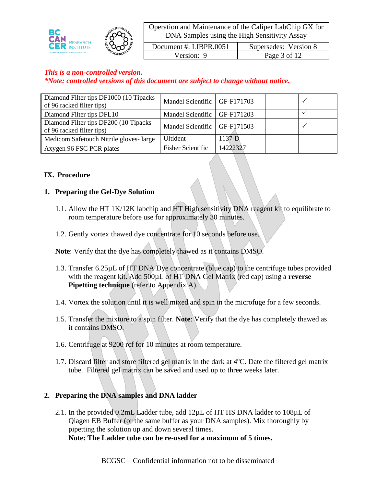

| Document #: LIBPR.0051 | Supersedes: Version 8 |
|------------------------|-----------------------|
| Version: 9             | Page 3 of 12          |

### *This is a non-controlled version. \*Note: controlled versions of this document are subject to change without notice.*

| Diamond Filter tips DF1000 (10 Tipacks)<br>of 96 racked filter tips) | Mandel Scientific   GF-F171703 |            |  |
|----------------------------------------------------------------------|--------------------------------|------------|--|
| Diamond Filter tips DFL10                                            | Mandel Scientific   GF-F171203 |            |  |
| Diamond Filter tips DF200 (10 Tipacks<br>of 96 racked filter tips)   | Mandel Scientific   GF-F171503 |            |  |
| Medicom Safetouch Nitrile gloves-large                               | <b>Ultident</b>                | $1137 - D$ |  |
| Axygen 96 FSC PCR plates                                             | <b>Fisher Scientific</b>       | 14222327   |  |

### **IX. Procedure**

### **1. Preparing the Gel-Dye Solution**

- 1.1. Allow the HT 1K/12K labchip and HT High sensitivity DNA reagent kit to equilibrate to room temperature before use for approximately 30 minutes.
- 1.2. Gently vortex thawed dye concentrate for 10 seconds before use.

**Note**: Verify that the dye has completely thawed as it contains DMSO.

- 1.3. Transfer 6.25µL of HT DNA Dye concentrate (blue cap) to the centrifuge tubes provided with the reagent kit. Add 500µL of HT DNA Gel Matrix (red cap) using a **reverse Pipetting technique** (refer to Appendix A).
- 1.4. Vortex the solution until it is well mixed and spin in the microfuge for a few seconds.
- 1.5. Transfer the mixture to a spin filter. **Note**: Verify that the dye has completely thawed as it contains DMSO.
- 1.6. Centrifuge at 9200 rcf for 10 minutes at room temperature.
- 1.7. Discard filter and store filtered gel matrix in the dark at  $4^{\circ}$ C. Date the filtered gel matrix tube. Filtered gel matrix can be saved and used up to three weeks later.

# **2. Preparing the DNA samples and DNA ladder**

2.1. In the provided 0.2mL Ladder tube, add 12µL of HT HS DNA ladder to 108µL of Qiagen EB Buffer (or the same buffer as your DNA samples). Mix thoroughly by pipetting the solution up and down several times. **Note: The Ladder tube can be re-used for a maximum of 5 times.**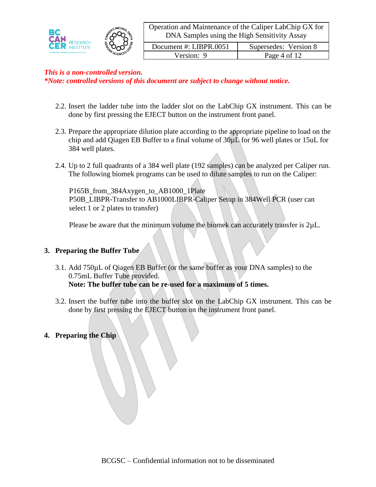

| Document #: LIBPR.0051 | Supersedes: Version 8 |
|------------------------|-----------------------|
| Version: 9             | Page 4 of 12          |

# *This is a non-controlled version.*

*\*Note: controlled versions of this document are subject to change without notice.*

- 2.2. Insert the ladder tube into the ladder slot on the LabChip GX instrument. This can be done by first pressing the EJECT button on the instrument front panel.
- 2.3. Prepare the appropriate dilution plate according to the appropriate pipeline to load on the chip and add Qiagen EB Buffer to a final volume of  $30\mu L$  for 96 well plates or 15uL for 384 well plates.
- 2.4. Up to 2 full quadrants of a 384 well plate (192 samples) can be analyzed per Caliper run. The following biomek programs can be used to dilute samples to run on the Caliper:

P165B\_from\_384Axygen\_to\_AB1000\_1Plate P50B\_LIBPR-Transfer to AB1000LIBPR-Caliper Setup in 384Well PCR (user can select 1 or 2 plates to transfer)

Please be aware that the minimum volume the biomek can accurately transfer is  $2\mu L$ .

### **3. Preparing the Buffer Tube**

- 3.1. Add 750µL of Qiagen EB Buffer (or the same buffer as your DNA samples) to the 0.75mL Buffer Tube provided. **Note: The buffer tube can be re-used for a maximum of 5 times.**
- 3.2. Insert the buffer tube into the buffer slot on the LabChip GX instrument. This can be done by first pressing the EJECT button on the instrument front panel.

### **4. Preparing the Chip**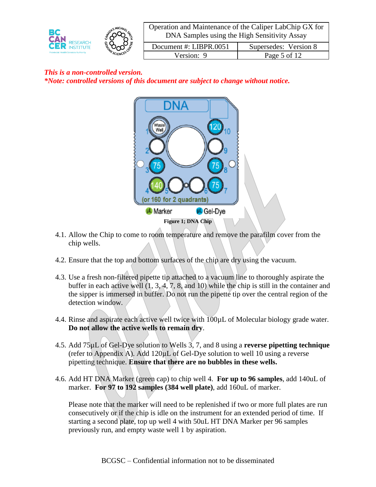

| Document #: LIBPR.0051 | Supersedes: Version 8 |
|------------------------|-----------------------|
| Version: 9             | Page 5 of 12          |

# *This is a non-controlled version. \*Note: controlled versions of this document are subject to change without notice.*



- 4.1. Allow the Chip to come to room temperature and remove the parafilm cover from the chip wells.
- 4.2. Ensure that the top and bottom surfaces of the chip are dry using the vacuum.
- 4.3. Use a fresh non-filtered pipette tip attached to a vacuum line to thoroughly aspirate the buffer in each active well (1, 3, 4, 7, 8, and 10) while the chip is still in the container and the sipper is immersed in buffer. Do not run the pipette tip over the central region of the detection window.
- 4.4. Rinse and aspirate each active well twice with 100µL of Molecular biology grade water. **Do not allow the active wells to remain dry**.
- 4.5. Add 75µL of Gel-Dye solution to Wells 3, 7, and 8 using a **reverse pipetting technique** (refer to Appendix A). Add  $120\mu L$  of Gel-Dye solution to well 10 using a reverse pipetting technique. **Ensure that there are no bubbles in these wells.**
- 4.6. Add HT DNA Marker (green cap) to chip well 4. **For up to 96 samples**, add 140uL of marker. **For 97 to 192 samples (384 well plate)**, add 160uL of marker.

Please note that the marker will need to be replenished if two or more full plates are run consecutively or if the chip is idle on the instrument for an extended period of time. If starting a second plate, top up well 4 with 50uL HT DNA Marker per 96 samples previously run, and empty waste well 1 by aspiration.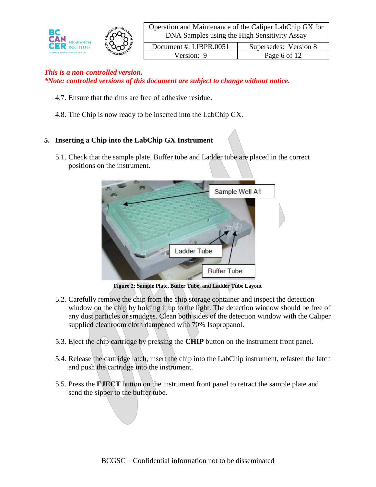

| Document #: LIBPR.0051 | Supersedes: Version 8 |
|------------------------|-----------------------|
| Version: 9             | Page 6 of 12          |

- 4.7. Ensure that the rims are free of adhesive residue.
- 4.8. The Chip is now ready to be inserted into the LabChip GX.

# **5. Inserting a Chip into the LabChip GX Instrument**

5.1. Check that the sample plate, Buffer tube and Ladder tube are placed in the correct positions on the instrument.



**Figure 2: Sample Plate, Buffer Tube, and Ladder Tube Layout**

- 5.2. Carefully remove the chip from the chip storage container and inspect the detection window on the chip by holding it up to the light. The detection window should be free of any dust particles or smudges. Clean both sides of the detection window with the Caliper supplied cleanroom cloth dampened with 70% Isopropanol.
- 5.3. Eject the chip cartridge by pressing the **CHIP** button on the instrument front panel.
- 5.4. Release the cartridge latch, insert the chip into the LabChip instrument, refasten the latch and push the cartridge into the instrument.
- 5.5. Press the **EJECT** button on the instrument front panel to retract the sample plate and send the sipper to the buffer tube.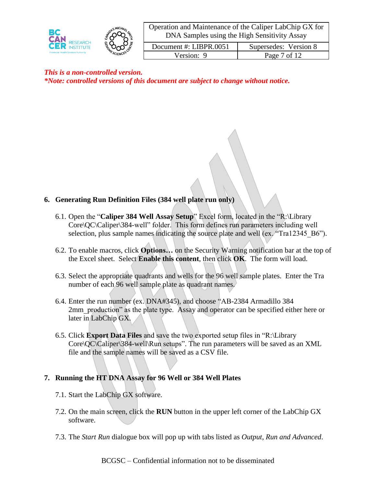

| Operation and Maintenance of the Caliper LabChip GX for |  |
|---------------------------------------------------------|--|
| DNA Samples using the High Sensitivity Assay            |  |

| Document #: LIBPR.0051 | Supersedes: Version 8 |
|------------------------|-----------------------|
| Version: 9             | Page 7 of 12          |

### **6. Generating Run Definition Files (384 well plate run only)**

- 6.1. Open the "**Caliper 384 Well Assay Setup**" Excel form, located in the "R:\Library Core\QC\Caliper\384-well" folder. This form defines run parameters including well selection, plus sample names indicating the source plate and well (ex. "Tra12345 B6").
- 6.2. To enable macros, click **Options…** on the Security Warning notification bar at the top of the Excel sheet. Select **Enable this content**, then click **OK**. The form will load.
- 6.3. Select the appropriate quadrants and wells for the 96 well sample plates. Enter the Tra number of each 96 well sample plate as quadrant names.
- 6.4. Enter the run number (ex. DNA#345), and choose "AB-2384 Armadillo 384 2mm production" as the plate type. Assay and operator can be specified either here or later in LabChip GX.
- 6.5. Click **Export Data Files** and save the two exported setup files in "R:\Library Core $\overline{QC}\$ Caliper $\overline{384}$ -well $\overline{R}$ un setups". The run parameters will be saved as an XML file and the sample names will be saved as a CSV file.

### **7. Running the HT DNA Assay for 96 Well or 384 Well Plates**

- 7.1. Start the LabChip GX software.
- 7.2. On the main screen, click the **RUN** button in the upper left corner of the LabChip GX software.
- 7.3. The *Start Run* dialogue box will pop up with tabs listed as *Output, Run and Advanced*.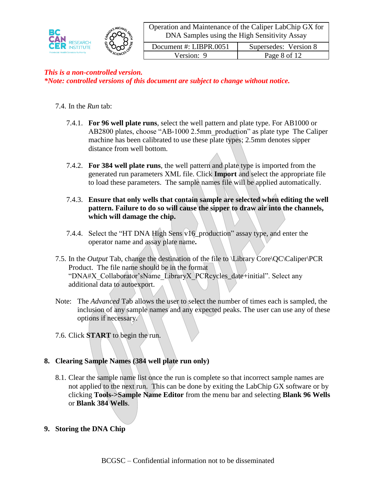

| Document #: LIBPR.0051 | Supersedes: Version 8 |
|------------------------|-----------------------|
| Version: 9             | Page 8 of 12          |

### *This is a non-controlled version. \*Note: controlled versions of this document are subject to change without notice.*

### 7.4. In the *Run* tab:

- 7.4.1. **For 96 well plate runs**, select the well pattern and plate type. For AB1000 or AB2800 plates, choose "AB-1000 2.5mm\_production" as plate type The Caliper machine has been calibrated to use these plate types; 2.5mm denotes sipper distance from well bottom.
- 7.4.2. **For 384 well plate runs**, the well pattern and plate type is imported from the generated run parameters XML file. Click **Import** and select the appropriate file to load these parameters. The sample names file will be applied automatically.
- 7.4.3. **Ensure that only wells that contain sample are selected when editing the well pattern. Failure to do so will cause the sipper to draw air into the channels, which will damage the chip.**
- 7.4.4. Select the "HT DNA High Sens v16\_production" assay type, and enter the operator name and assay plate name**.**
- 7.5. In the *Output* Tab, change the destination of the file to \Library Core\QC\Caliper\PCR Product. The file name should be in the format "DNA#X\_Collaborator'sName\_LibraryX\_PCRcycles\_date+initial". Select any additional data to autoexport.
- Note: The *Advanced* Tab allows the user to select the number of times each is sampled, the inclusion of any sample names and any expected peaks. The user can use any of these options if necessary.
- 7.6. Click **START** to begin the run.

### **8. Clearing Sample Names (384 well plate run only)**

- 8.1. Clear the sample name list once the run is complete so that incorrect sample names are not applied to the next run. This can be done by exiting the LabChip GX software or by clicking **Tools->Sample Name Editor** from the menu bar and selecting **Blank 96 Wells**  or **Blank 384 Wells**.
- **9. Storing the DNA Chip**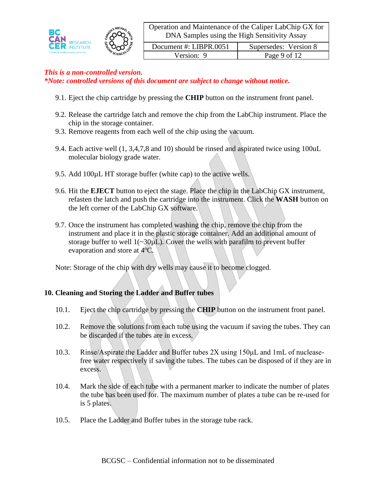

| Document #: LIBPR.0051 | Supersedes: Version 8 |
|------------------------|-----------------------|
| Version: 9             | Page 9 of 12          |

- 9.1. Eject the chip cartridge by pressing the **CHIP** button on the instrument front panel.
- 9.2. Release the cartridge latch and remove the chip from the LabChip instrument. Place the chip in the storage container.
- 9.3. Remove reagents from each well of the chip using the vacuum.
- 9.4. Each active well (1, 3,4,7,8 and 10) should be rinsed and aspirated twice using 100uL molecular biology grade water.
- 9.5. Add 100µL HT storage buffer (white cap) to the active wells.
- 9.6. Hit the **EJECT** button to eject the stage. Place the chip in the LabChip GX instrument, refasten the latch and push the cartridge into the instrument. Click the **WASH** button on the left corner of the LabChip GX software.
- 9.7. Once the instrument has completed washing the chip, remove the chip from the instrument and place it in the plastic storage container. Add an additional amount of storage buffer to well  $1(-30\mu L)$ . Cover the wells with parafilm to prevent buffer evaporation and store at  $4^{\circ}$ C.

Note: Storage of the chip with dry wells may cause it to become clogged.

# **10. Cleaning and Storing the Ladder and Buffer tubes**

- 10.1. Eject the chip cartridge by pressing the **CHIP** button on the instrument front panel.
- 10.2. Remove the solutions from each tube using the vacuum if saving the tubes. They can be discarded if the tubes are in excess.
- 10.3. Rinse/Aspirate the Ladder and Buffer tubes 2X using 150μL and 1mL of nucleasefree water respectively if saving the tubes. The tubes can be disposed of if they are in excess.
- 10.4. Mark the side of each tube with a permanent marker to indicate the number of plates the tube has been used for. The maximum number of plates a tube can be re-used for is 5 plates.
- 10.5. Place the Ladder and Buffer tubes in the storage tube rack.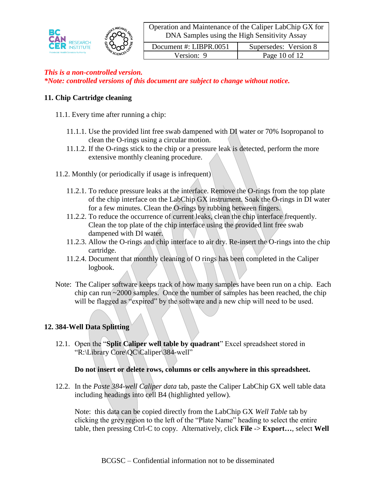

| Document #: LIBPR.0051 | Supersedes: Version 8 |
|------------------------|-----------------------|
| Version: 9             | Page $10$ of $12$     |

### *This is a non-controlled version. \*Note: controlled versions of this document are subject to change without notice.*

### **11. Chip Cartridge cleaning**

- 11.1. Every time after running a chip:
	- 11.1.1. Use the provided lint free swab dampened with DI water or 70% Isopropanol to clean the O-rings using a circular motion.
	- 11.1.2. If the O-rings stick to the chip or a pressure leak is detected, perform the more extensive monthly cleaning procedure.
- 11.2. Monthly (or periodically if usage is infrequent)
	- 11.2.1. To reduce pressure leaks at the interface. Remove the O-rings from the top plate of the chip interface on the LabChip GX instrument. Soak the O-rings in DI water for a few minutes. Clean the O-rings by rubbing between fingers.
	- 11.2.2. To reduce the occurrence of current leaks, clean the chip interface frequently. Clean the top plate of the chip interface using the provided lint free swab dampened with DI water.
	- 11.2.3. Allow the O-rings and chip interface to air dry. Re-insert the O-rings into the chip cartridge.
	- 11.2.4. Document that monthly cleaning of O rings has been completed in the Caliper logbook.
- Note: The Caliper software keeps track of how many samples have been run on a chip. Each chip can run  $\sim$  2000 samples. Once the number of samples has been reached, the chip will be flagged as "expired" by the software and a new chip will need to be used.

# **12. 384-Well Data Splitting**

12.1. Open the "**Split Caliper well table by quadrant**" Excel spreadsheet stored in "R:\Library Core\QC\Caliper\384-well"

### **Do not insert or delete rows, columns or cells anywhere in this spreadsheet.**

12.2. In the *Paste 384-well Caliper data* tab, paste the Caliper LabChip GX well table data including headings into cell B4 (highlighted yellow).

Note: this data can be copied directly from the LabChip GX *Well Table* tab by clicking the grey region to the left of the "Plate Name" heading to select the entire table, then pressing Ctrl-C to copy. Alternatively, click **File** -> **Export…**, select **Well**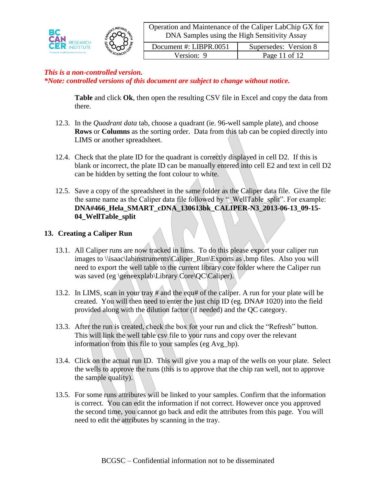

| Document #: LIBPR.0051 | Supersedes: Version 8 |
|------------------------|-----------------------|
| Version: 9             | Page 11 of 12         |

**Table** and click **Ok**, then open the resulting CSV file in Excel and copy the data from there.

- 12.3. In the *Quadrant data* tab, choose a quadrant (ie. 96-well sample plate), and choose **Rows** or **Columns** as the sorting order. Data from this tab can be copied directly into LIMS or another spreadsheet.
- 12.4. Check that the plate ID for the quadrant is correctly displayed in cell D2. If this is blank or incorrect, the plate ID can be manually entered into cell E2 and text in cell D2 can be hidden by setting the font colour to white.
- 12.5. Save a copy of the spreadsheet in the same folder as the Caliper data file. Give the file the same name as the Caliper data file followed by  $\cdot$  WellTable split". For example: **DNA#466\_Hela\_SMART\_cDNA\_130613bk\_CALIPER-N3\_2013-06-13\_09-15- 04\_WellTable\_split**

# **13. Creating a Caliper Run**

- 13.1. All Caliper runs are now tracked in lims. To do this please export your caliper run images to \\isaac\labinstruments\Caliper\_Run\Exports as .bmp files. Also you will need to export the well table to the current library core folder where the Caliper run was saved (eg \geneexplab\Library Core\QC\Caliper).
- 13.2. In LIMS, scan in your tray # and the equ# of the caliper. A run for your plate will be created. You will then need to enter the just chip ID (eg. DNA# 1020) into the field provided along with the dilution factor (if needed) and the QC category.
- 13.3. After the run is created, check the box for your run and click the "Refresh" button. This will link the well table csv file to your runs and copy over the relevant information from this file to your samples (eg Avg\_bp).
- 13.4. Click on the actual run ID. This will give you a map of the wells on your plate. Select the wells to approve the runs (this is to approve that the chip ran well, not to approve the sample quality).
- 13.5. For some runs attributes will be linked to your samples. Confirm that the information is correct. You can edit the information if not correct. However once you approved the second time, you cannot go back and edit the attributes from this page. You will need to edit the attributes by scanning in the tray.